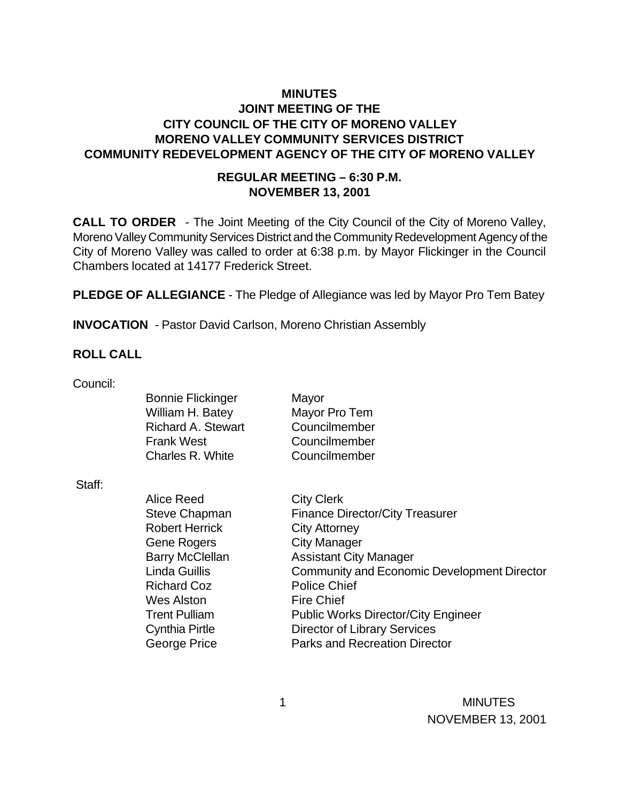## **MINUTES JOINT MEETING OF THE CITY COUNCIL OF THE CITY OF MORENO VALLEY MORENO VALLEY COMMUNITY SERVICES DISTRICT COMMUNITY REDEVELOPMENT AGENCY OF THE CITY OF MORENO VALLEY**

### **REGULAR MEETING – 6:30 P.M. NOVEMBER 13, 2001**

**CALL TO ORDER** - The Joint Meeting of the City Council of the City of Moreno Valley, Moreno Valley Community Services District and the Community Redevelopment Agency of the City of Moreno Valley was called to order at 6:38 p.m. by Mayor Flickinger in the Council Chambers located at 14177 Frederick Street.

**PLEDGE OF ALLEGIANCE** - The Pledge of Allegiance was led by Mayor Pro Tem Batey

**INVOCATION** - Pastor David Carlson, Moreno Christian Assembly

### **ROLL CALL**

Council:

|        | <b>Bonnie Flickinger</b><br>William H. Batey<br><b>Richard A. Stewart</b><br><b>Frank West</b><br>Charles R. White | Mayor<br>Mayor Pro Tem<br>Councilmember<br>Councilmember<br>Councilmember |
|--------|--------------------------------------------------------------------------------------------------------------------|---------------------------------------------------------------------------|
| Staff: |                                                                                                                    |                                                                           |
|        | Alice Reed                                                                                                         | <b>City Clerk</b>                                                         |
|        | <b>Steve Chapman</b>                                                                                               | <b>Finance Director/City Treasurer</b>                                    |
|        | <b>Robert Herrick</b>                                                                                              | <b>City Attorney</b>                                                      |
|        | <b>Gene Rogers</b>                                                                                                 | <b>City Manager</b>                                                       |
|        | <b>Barry McClellan</b>                                                                                             | <b>Assistant City Manager</b>                                             |
|        | <b>Linda Guillis</b>                                                                                               | Community and Economic Development Director                               |
|        | <b>Richard Coz</b>                                                                                                 | <b>Police Chief</b>                                                       |
|        | Wes Alston                                                                                                         | <b>Fire Chief</b>                                                         |
|        | <b>Trent Pulliam</b>                                                                                               | <b>Public Works Director/City Engineer</b>                                |
|        | <b>Cynthia Pirtle</b>                                                                                              | <b>Director of Library Services</b>                                       |
|        | George Price                                                                                                       | <b>Parks and Recreation Director</b>                                      |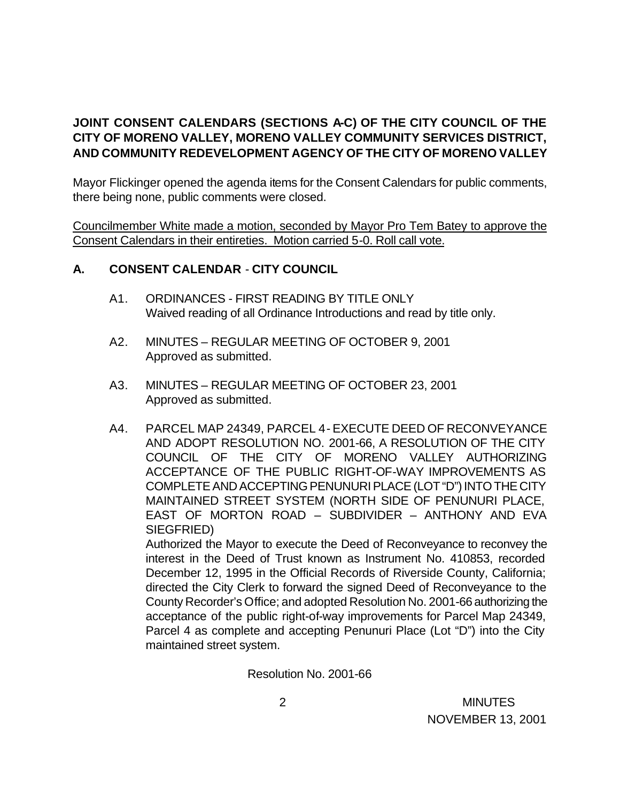## **JOINT CONSENT CALENDARS (SECTIONS A-C) OF THE CITY COUNCIL OF THE CITY OF MORENO VALLEY, MORENO VALLEY COMMUNITY SERVICES DISTRICT, AND COMMUNITY REDEVELOPMENT AGENCY OF THE CITY OF MORENO VALLEY**

Mayor Flickinger opened the agenda items for the Consent Calendars for public comments, there being none, public comments were closed.

Councilmember White made a motion, seconded by Mayor Pro Tem Batey to approve the Consent Calendars in their entireties. Motion carried 5-0. Roll call vote.

### **A. CONSENT CALENDAR** - **CITY COUNCIL**

- A1. ORDINANCES FIRST READING BY TITLE ONLY Waived reading of all Ordinance Introductions and read by title only.
- A2. MINUTES REGULAR MEETING OF OCTOBER 9, 2001 Approved as submitted.
- A3. MINUTES REGULAR MEETING OF OCTOBER 23, 2001 Approved as submitted.
- A4. PARCEL MAP 24349, PARCEL 4 EXECUTE DEED OF RECONVEYANCE AND ADOPT RESOLUTION NO. 2001-66, A RESOLUTION OF THE CITY COUNCIL OF THE CITY OF MORENO VALLEY AUTHORIZING ACCEPTANCE OF THE PUBLIC RIGHT-OF-WAY IMPROVEMENTS AS COMPLETE AND ACCEPTING PENUNURI PLACE (LOT "D") INTO THE CITY MAINTAINED STREET SYSTEM (NORTH SIDE OF PENUNURI PLACE, EAST OF MORTON ROAD – SUBDIVIDER – ANTHONY AND EVA SIEGFRIED)

Authorized the Mayor to execute the Deed of Reconveyance to reconvey the interest in the Deed of Trust known as Instrument No. 410853, recorded December 12, 1995 in the Official Records of Riverside County, California; directed the City Clerk to forward the signed Deed of Reconveyance to the County Recorder's Office; and adopted Resolution No. 2001-66 authorizing the acceptance of the public right-of-way improvements for Parcel Map 24349, Parcel 4 as complete and accepting Penunuri Place (Lot "D") into the City maintained street system.

Resolution No. 2001-66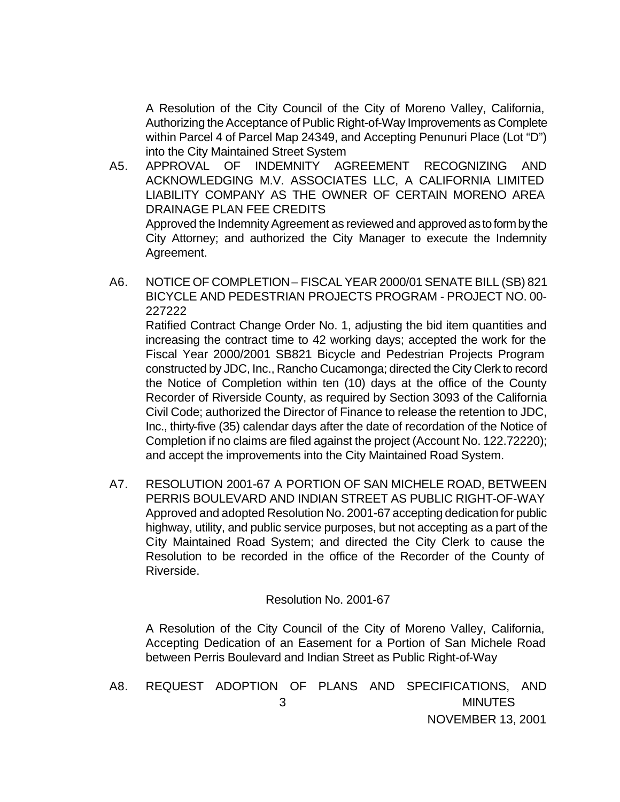A Resolution of the City Council of the City of Moreno Valley, California, Authorizing the Acceptance of Public Right-of-Way Improvements as Complete within Parcel 4 of Parcel Map 24349, and Accepting Penunuri Place (Lot "D") into the City Maintained Street System

- A5. APPROVAL OF INDEMNITY AGREEMENT RECOGNIZING AND ACKNOWLEDGING M.V. ASSOCIATES LLC, A CALIFORNIA LIMITED LIABILITY COMPANY AS THE OWNER OF CERTAIN MORENO AREA DRAINAGE PLAN FEE CREDITS Approved the Indemnity Agreement as reviewed and approved as to form by the City Attorney; and authorized the City Manager to execute the Indemnity
- A6. NOTICE OF COMPLETION FISCAL YEAR 2000/01 SENATE BILL (SB) 821 BICYCLE AND PEDESTRIAN PROJECTS PROGRAM - PROJECT NO. 00- 227222

Agreement.

Ratified Contract Change Order No. 1, adjusting the bid item quantities and increasing the contract time to 42 working days; accepted the work for the Fiscal Year 2000/2001 SB821 Bicycle and Pedestrian Projects Program constructed by JDC, Inc., Rancho Cucamonga; directed the City Clerk to record the Notice of Completion within ten (10) days at the office of the County Recorder of Riverside County, as required by Section 3093 of the California Civil Code; authorized the Director of Finance to release the retention to JDC, Inc., thirty-five (35) calendar days after the date of recordation of the Notice of Completion if no claims are filed against the project (Account No. 122.72220); and accept the improvements into the City Maintained Road System.

A7. RESOLUTION 2001-67 A PORTION OF SAN MICHELE ROAD, BETWEEN PERRIS BOULEVARD AND INDIAN STREET AS PUBLIC RIGHT-OF-WAY Approved and adopted Resolution No. 2001-67 accepting dedication for public highway, utility, and public service purposes, but not accepting as a part of the City Maintained Road System; and directed the City Clerk to cause the Resolution to be recorded in the office of the Recorder of the County of Riverside.

Resolution No. 2001-67

A Resolution of the City Council of the City of Moreno Valley, California, Accepting Dedication of an Easement for a Portion of San Michele Road between Perris Boulevard and Indian Street as Public Right-of-Way

 3 MINUTES NOVEMBER 13, 2001 A8. REQUEST ADOPTION OF PLANS AND SPECIFICATIONS, AND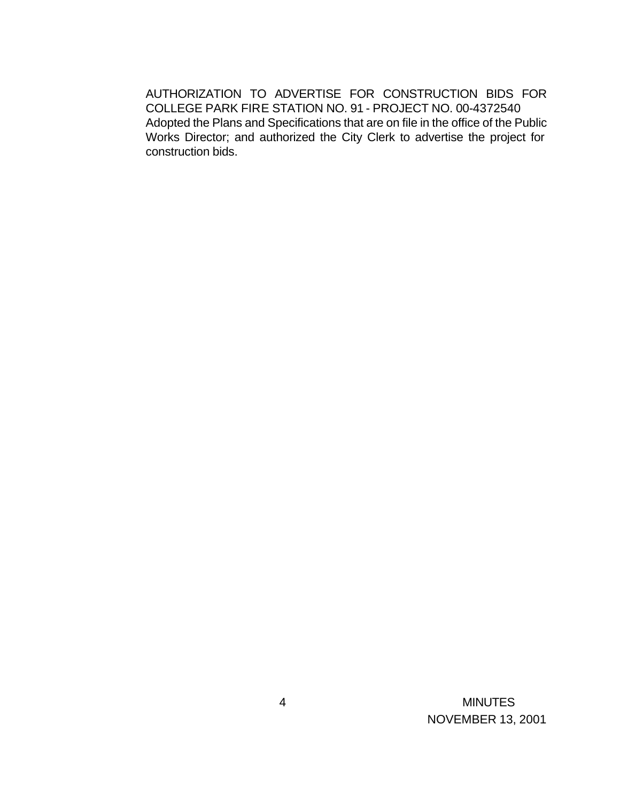AUTHORIZATION TO ADVERTISE FOR CONSTRUCTION BIDS FOR COLLEGE PARK FIRE STATION NO. 91 - PROJECT NO. 00-4372540 Adopted the Plans and Specifications that are on file in the office of the Public Works Director; and authorized the City Clerk to advertise the project for construction bids.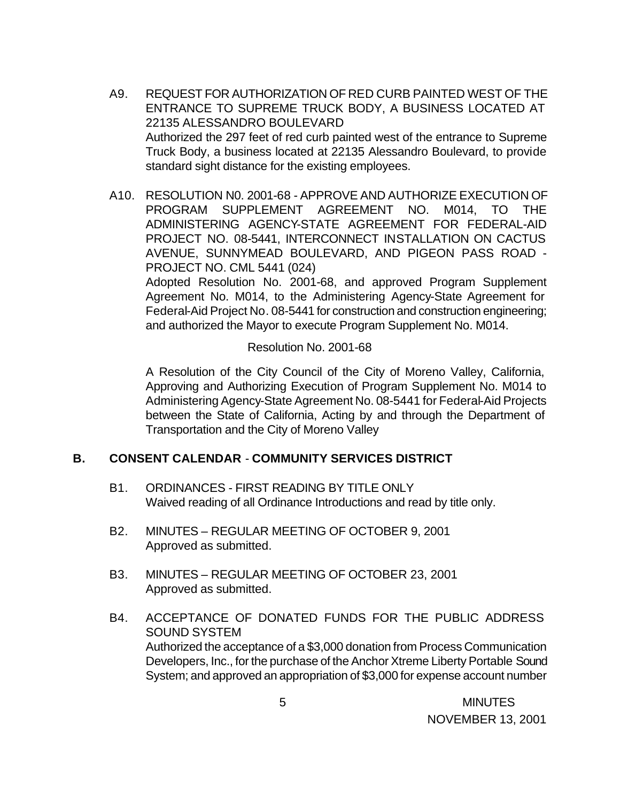- A9. REQUEST FOR AUTHORIZATION OF RED CURB PAINTED WEST OF THE ENTRANCE TO SUPREME TRUCK BODY, A BUSINESS LOCATED AT 22135 ALESSANDRO BOULEVARD Authorized the 297 feet of red curb painted west of the entrance to Supreme Truck Body, a business located at 22135 Alessandro Boulevard, to provide standard sight distance for the existing employees.
- A10. RESOLUTION N0. 2001-68 APPROVE AND AUTHORIZE EXECUTION OF PROGRAM SUPPLEMENT AGREEMENT NO. M014, TO THE ADMINISTERING AGENCY-STATE AGREEMENT FOR FEDERAL-AID PROJECT NO. 08-5441, INTERCONNECT INSTALLATION ON CACTUS AVENUE, SUNNYMEAD BOULEVARD, AND PIGEON PASS ROAD - PROJECT NO. CML 5441 (024)

Adopted Resolution No. 2001-68, and approved Program Supplement Agreement No. M014, to the Administering Agency-State Agreement for Federal-Aid Project No. 08-5441 for construction and construction engineering; and authorized the Mayor to execute Program Supplement No. M014.

#### Resolution No. 2001-68

A Resolution of the City Council of the City of Moreno Valley, California, Approving and Authorizing Execution of Program Supplement No. M014 to Administering Agency-State Agreement No. 08-5441 for Federal-Aid Projects between the State of California, Acting by and through the Department of Transportation and the City of Moreno Valley

#### **B. CONSENT CALENDAR** - **COMMUNITY SERVICES DISTRICT**

- B1. ORDINANCES FIRST READING BY TITLE ONLY Waived reading of all Ordinance Introductions and read by title only.
- B2. MINUTES REGULAR MEETING OF OCTOBER 9, 2001 Approved as submitted.
- B3. MINUTES REGULAR MEETING OF OCTOBER 23, 2001 Approved as submitted.
- B4. ACCEPTANCE OF DONATED FUNDS FOR THE PUBLIC ADDRESS SOUND SYSTEM Authorized the acceptance of a \$3,000 donation from Process Communication Developers, Inc., for the purchase of the Anchor Xtreme Liberty Portable Sound System; and approved an appropriation of \$3,000 for expense account number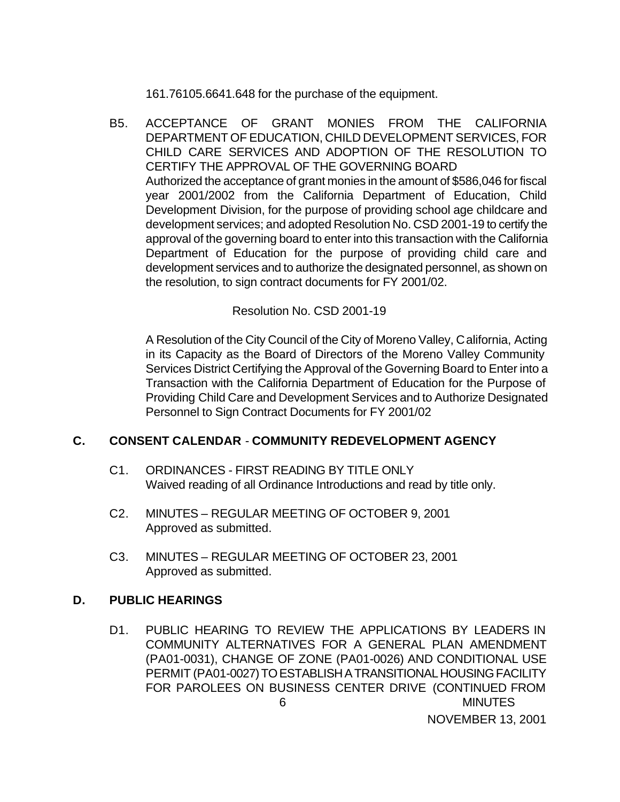161.76105.6641.648 for the purchase of the equipment.

B5. ACCEPTANCE OF GRANT MONIES FROM THE CALIFORNIA DEPARTMENT OF EDUCATION, CHILD DEVELOPMENT SERVICES, FOR CHILD CARE SERVICES AND ADOPTION OF THE RESOLUTION TO CERTIFY THE APPROVAL OF THE GOVERNING BOARD Authorized the acceptance of grant monies in the amount of \$586,046 for fiscal year 2001/2002 from the California Department of Education, Child Development Division, for the purpose of providing school age childcare and development services; and adopted Resolution No. CSD 2001-19 to certify the approval of the governing board to enter into this transaction with the California Department of Education for the purpose of providing child care and development services and to authorize the designated personnel, as shown on the resolution, to sign contract documents for FY 2001/02.

Resolution No. CSD 2001-19

A Resolution of the City Council of the City of Moreno Valley, California, Acting in its Capacity as the Board of Directors of the Moreno Valley Community Services District Certifying the Approval of the Governing Board to Enter into a Transaction with the California Department of Education for the Purpose of Providing Child Care and Development Services and to Authorize Designated Personnel to Sign Contract Documents for FY 2001/02

## **C. CONSENT CALENDAR** - **COMMUNITY REDEVELOPMENT AGENCY**

- C1. ORDINANCES FIRST READING BY TITLE ONLY Waived reading of all Ordinance Introductions and read by title only.
- C2. MINUTES REGULAR MEETING OF OCTOBER 9, 2001 Approved as submitted.
- C3. MINUTES REGULAR MEETING OF OCTOBER 23, 2001 Approved as submitted.

#### **D. PUBLIC HEARINGS**

 6 MINUTES D1. PUBLIC HEARING TO REVIEW THE APPLICATIONS BY LEADERS IN COMMUNITY ALTERNATIVES FOR A GENERAL PLAN AMENDMENT (PA01-0031), CHANGE OF ZONE (PA01-0026) AND CONDITIONAL USE PERMIT (PA01-0027) TO ESTABLISH A TRANSITIONAL HOUSING FACILITY FOR PAROLEES ON BUSINESS CENTER DRIVE (CONTINUED FROM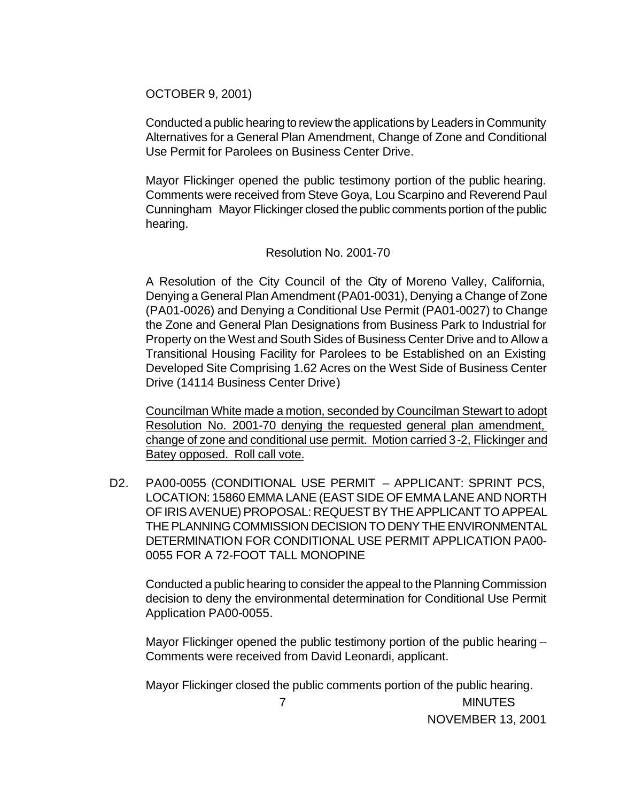OCTOBER 9, 2001)

Conducted a public hearing to review the applications by Leaders in Community Alternatives for a General Plan Amendment, Change of Zone and Conditional Use Permit for Parolees on Business Center Drive.

Mayor Flickinger opened the public testimony portion of the public hearing. Comments were received from Steve Goya, Lou Scarpino and Reverend Paul Cunningham Mayor Flickinger closed the public comments portion of the public hearing.

#### Resolution No. 2001-70

A Resolution of the City Council of the City of Moreno Valley, California, Denying a General Plan Amendment (PA01-0031), Denying a Change of Zone (PA01-0026) and Denying a Conditional Use Permit (PA01-0027) to Change the Zone and General Plan Designations from Business Park to Industrial for Property on the West and South Sides of Business Center Drive and to Allow a Transitional Housing Facility for Parolees to be Established on an Existing Developed Site Comprising 1.62 Acres on the West Side of Business Center Drive (14114 Business Center Drive)

Councilman White made a motion, seconded by Councilman Stewart to adopt Resolution No. 2001-70 denying the requested general plan amendment, change of zone and conditional use permit. Motion carried 3-2, Flickinger and Batey opposed. Roll call vote.

D2. PA00-0055 (CONDITIONAL USE PERMIT – APPLICANT: SPRINT PCS, LOCATION: 15860 EMMA LANE (EAST SIDE OF EMMA LANE AND NORTH OF IRIS AVENUE) PROPOSAL: REQUEST BY THE APPLICANT TO APPEAL THE PLANNING COMMISSION DECISION TO DENY THE ENVIRONMENTAL DETERMINATION FOR CONDITIONAL USE PERMIT APPLICATION PA00- 0055 FOR A 72-FOOT TALL MONOPINE

Conducted a public hearing to consider the appeal to the Planning Commission decision to deny the environmental determination for Conditional Use Permit Application PA00-0055.

Mayor Flickinger opened the public testimony portion of the public hearing – Comments were received from David Leonardi, applicant.

 7 MINUTES NOVEMBER 13, 2001 Mayor Flickinger closed the public comments portion of the public hearing.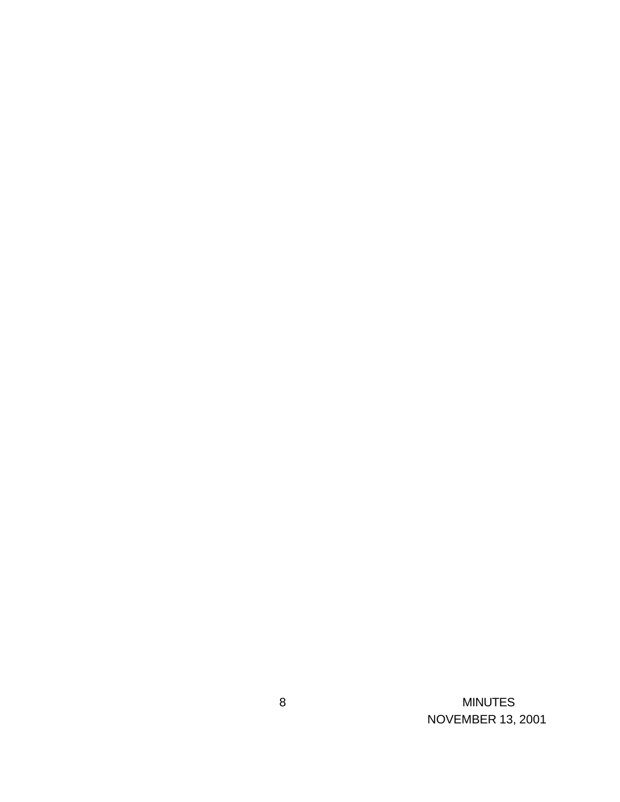8 MINUTES NOVEMBER 13, 2001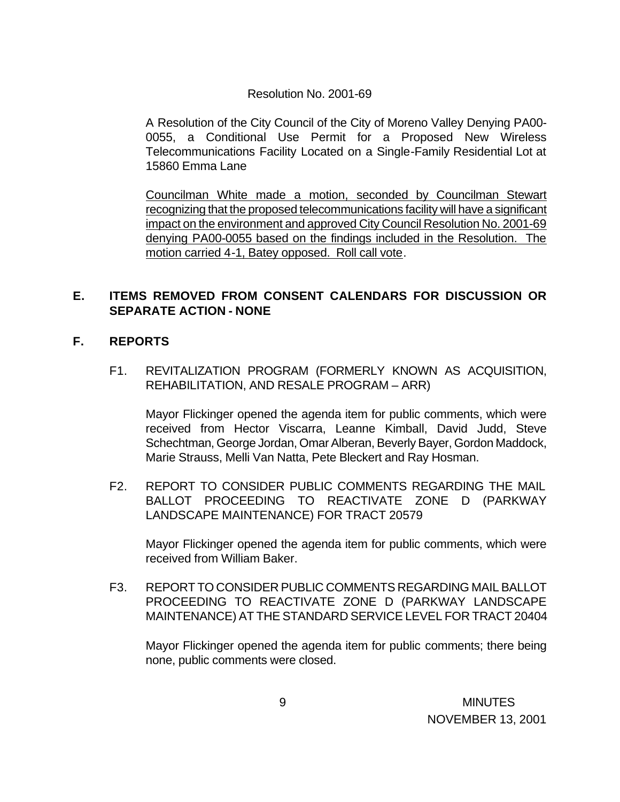#### Resolution No. 2001-69

A Resolution of the City Council of the City of Moreno Valley Denying PA00- 0055, a Conditional Use Permit for a Proposed New Wireless Telecommunications Facility Located on a Single-Family Residential Lot at 15860 Emma Lane

Councilman White made a motion, seconded by Councilman Stewart recognizing that the proposed telecommunications facility will have a significant impact on the environment and approved City Council Resolution No. 2001-69 denying PA00-0055 based on the findings included in the Resolution. The motion carried 4-1, Batey opposed. Roll call vote.

## **E. ITEMS REMOVED FROM CONSENT CALENDARS FOR DISCUSSION OR SEPARATE ACTION - NONE**

### **F. REPORTS**

F1. REVITALIZATION PROGRAM (FORMERLY KNOWN AS ACQUISITION, REHABILITATION, AND RESALE PROGRAM – ARR)

Mayor Flickinger opened the agenda item for public comments, which were received from Hector Viscarra, Leanne Kimball, David Judd, Steve Schechtman, George Jordan, Omar Alberan, Beverly Bayer, Gordon Maddock, Marie Strauss, Melli Van Natta, Pete Bleckert and Ray Hosman.

F2. REPORT TO CONSIDER PUBLIC COMMENTS REGARDING THE MAIL BALLOT PROCEEDING TO REACTIVATE ZONE D (PARKWAY LANDSCAPE MAINTENANCE) FOR TRACT 20579

Mayor Flickinger opened the agenda item for public comments, which were received from William Baker.

F3. REPORT TO CONSIDER PUBLIC COMMENTS REGARDING MAIL BALLOT PROCEEDING TO REACTIVATE ZONE D (PARKWAY LANDSCAPE MAINTENANCE) AT THE STANDARD SERVICE LEVEL FOR TRACT 20404

Mayor Flickinger opened the agenda item for public comments; there being none, public comments were closed.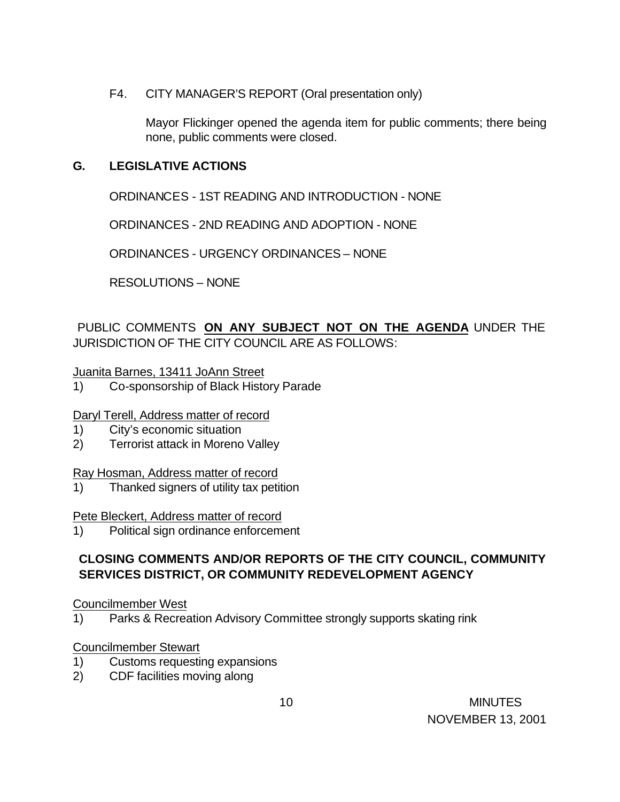## F4. CITY MANAGER'S REPORT (Oral presentation only)

Mayor Flickinger opened the agenda item for public comments; there being none, public comments were closed.

## **G. LEGISLATIVE ACTIONS**

ORDINANCES - 1ST READING AND INTRODUCTION - NONE

ORDINANCES - 2ND READING AND ADOPTION - NONE

ORDINANCES - URGENCY ORDINANCES – NONE

RESOLUTIONS – NONE

PUBLIC COMMENTS **ON ANY SUBJECT NOT ON THE AGENDA** UNDER THE JURISDICTION OF THE CITY COUNCIL ARE AS FOLLOWS:

Juanita Barnes, 13411 JoAnn Street

1) Co-sponsorship of Black History Parade

Daryl Terell, Address matter of record

- 1) City's economic situation
- 2) Terrorist attack in Moreno Valley

## Ray Hosman, Address matter of record

1) Thanked signers of utility tax petition

Pete Bleckert, Address matter of record

1) Political sign ordinance enforcement

# **CLOSING COMMENTS AND/OR REPORTS OF THE CITY COUNCIL, COMMUNITY SERVICES DISTRICT, OR COMMUNITY REDEVELOPMENT AGENCY**

## Councilmember West

1) Parks & Recreation Advisory Committee strongly supports skating rink

# Councilmember Stewart

- 1) Customs requesting expansions
- 2) CDF facilities moving along